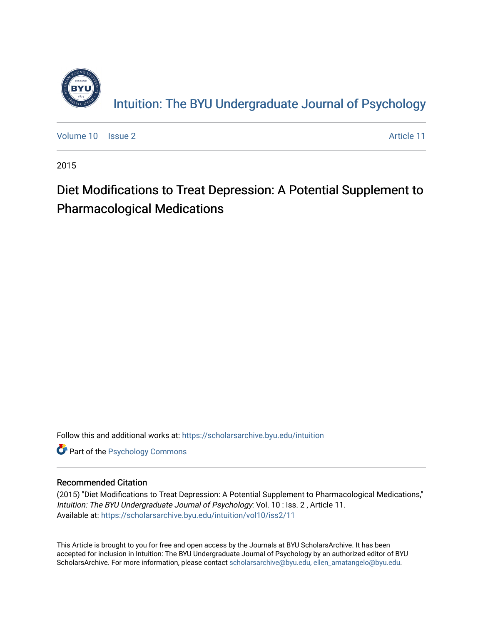

[Volume 10](https://scholarsarchive.byu.edu/intuition/vol10) | [Issue 2](https://scholarsarchive.byu.edu/intuition/vol10/iss2) Article 11

2015

## Diet Modifications to Treat Depression: A Potential Supplement to Pharmacological Medications

Follow this and additional works at: [https://scholarsarchive.byu.edu/intuition](https://scholarsarchive.byu.edu/intuition?utm_source=scholarsarchive.byu.edu%2Fintuition%2Fvol10%2Fiss2%2F11&utm_medium=PDF&utm_campaign=PDFCoverPages) 

**Part of the Psychology Commons** 

#### Recommended Citation

(2015) "Diet Modifications to Treat Depression: A Potential Supplement to Pharmacological Medications," Intuition: The BYU Undergraduate Journal of Psychology: Vol. 10 : Iss. 2 , Article 11. Available at: [https://scholarsarchive.byu.edu/intuition/vol10/iss2/11](https://scholarsarchive.byu.edu/intuition/vol10/iss2/11?utm_source=scholarsarchive.byu.edu%2Fintuition%2Fvol10%2Fiss2%2F11&utm_medium=PDF&utm_campaign=PDFCoverPages)

This Article is brought to you for free and open access by the Journals at BYU ScholarsArchive. It has been accepted for inclusion in Intuition: The BYU Undergraduate Journal of Psychology by an authorized editor of BYU ScholarsArchive. For more information, please contact [scholarsarchive@byu.edu, ellen\\_amatangelo@byu.edu.](mailto:scholarsarchive@byu.edu,%20ellen_amatangelo@byu.edu)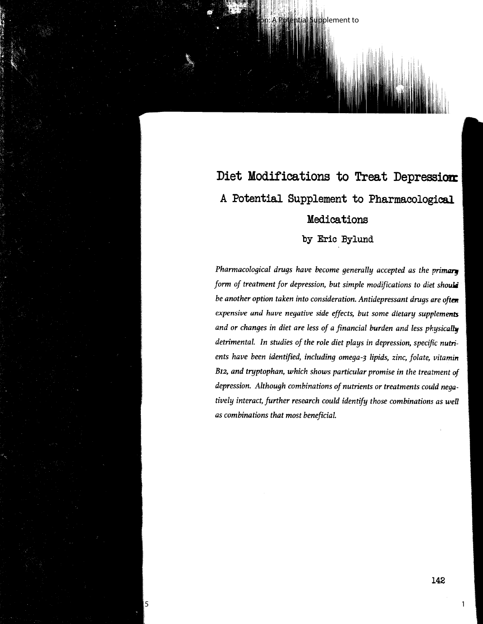# Diet Modifications to Treat Depression: A Potential Supplement to Pharmacological Medications

pplement to

by Eric Bylund

**Pharmacological drugs have become generally accepted as the primary** *form of treatment for depression, but simple modifications to diet should be another option taken into consideration. Antidepressant drugs are oftm expensive and have negative side effects, but some dietary supplements and or changes in diet are less of a financial burden and less physically detrimental. In studies of the role diet plays in depression, specific nutrients have been identified, including omega-3 lipids, zinc, folate, vitamin B12, and tryptophan, which shows particular promise in the treatment of depression. Although combinations of nutrients or treatments could negatively interact, further research could identify those combinations as well as combinations that most beneficial.* 

Published by BYU ScholarsArchive, 2015

1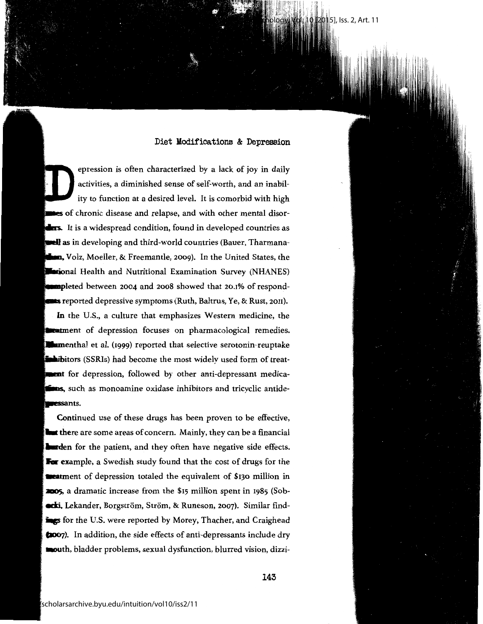**201**5], Iss. 2, Art. 11

epression is often characterized by a lack of joy in daily activities, a diminished sense of self-worth, and an inability to function at a desired level. It is comorbid with high  $\bullet$ s of chronic disease and relapse, and with other mental disor-**Lers.** It is a widespread condition, found in developed countries as **all** as in developing and third-world countries (Bauer, Tharmana**mn,** Volz, Moeller, & Freemantle, 2009). In the United States, the **Extional Health and Nutritional Examination Survey (NHANES) immpl**eted between 2004 and 2008 showed that 20.1% of respond**rats** reported depressive symptoms (Ruth, Baltrus, Ye, & Rust, 2011). In the U.S., a culture that emphasizes Western medicine, the

**weat**ment of depression focuses on pharmacological remedies. **Exam**enthal et al. (1999) reported that selective serotonin-reuptake , in titors (SSRIs) had become the most widely used form of treat**men**t for depression, followed by other anti-depressant medica- $\blacksquare$ s, such as monoamine oxidase inhibitors and tricyclic antide-**1RESSants.** 

Continued use of these drugs has been proven to be effective, **Unit the**re are some areas of concern. Mainly, they can be a financial  $\blacksquare$ **largeden** for the patient, and they often have negative side effects. **For** example, a Swedish study found that the cost of drugs for the **a a a** atment of depression totaled the equivalent of \$130 million in **JID05,** a dramatic increase from the \$15 million spent in 1985 (Sob- **•edsi,** Lekander, Borgström, Ström, & Runeson, 2007). Similar find**ings** for the U.S. were reported by Morey, Thacher, and Craighead **Caoo7).** In addition, the side effects of anti-depressants include dry **mouth,** bladder problems, sexual dysfunction, blurred vision, dizzi-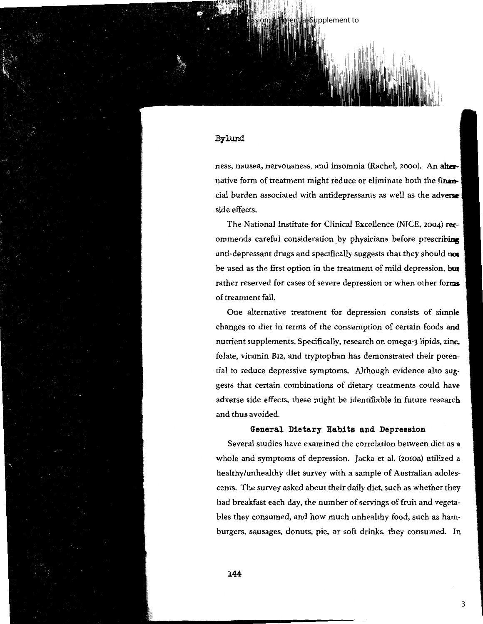#### **Bylund**

ness, nausea, nervousness, and insomnia (Rachel, 2000). An a**lter-[** native form of treatment might reduce or eliminate both the **finan..**  cial burden associated with antidepressants as well as the **adveiw**  side effects.

tential Supplement to

 $\lfloor$ 

The National Institute for Clinical Excellence (NICE, 2004) **rec**ommends careful consideration by physicians before prescribing anti-depressant drugs and specifically suggests that they should **not**  be used as the first option in the treatment of mild depression, **but**  rather reserved for cases of severe depression or when other **forms**  of treatment fail.

One alternative treatment for depression consists of **simple**  changes to diet in terms of the consumption of certain foods **and**  nutrient supplements. Specifically, research on omega-3 lipids, zinc, folate, vitamin B12, and tryptophan has demonstrated their potential to reduce depressive symptoms. Although evidence also suggests that certain combinations of dietary treatments could **have**  adverse side effects, these might be identifiable in future research and thus avoided.

#### **General Dietary Habits and Depression**

Several studies have examined the correlation between diet as a whole and symptoms of depression. Jacka et al. (2010a) utilized a healthy/unhealthy diet survey with a sample of Australian adolescents. The survey asked about their daily diet, such as whether they had breakfast each day, the number of servings of fruit and vegetables they consumed, and how much unhealthy food, such as hamburgers, sausages, donuts, pie, or soft drinks, they consumed. In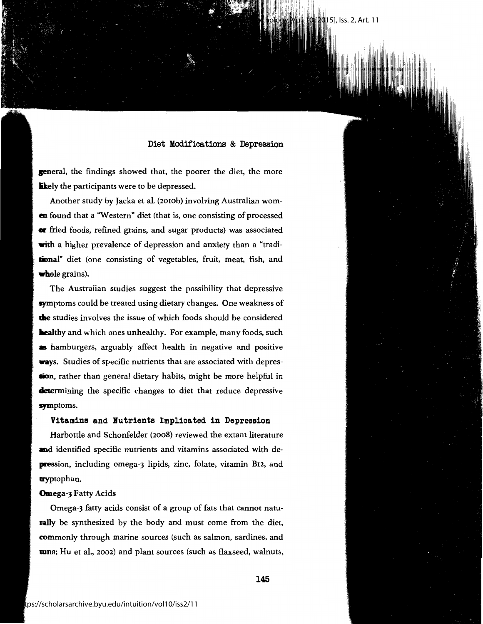Intuition: The BYU Undergraduate Journal of Psychology, Vol. 10 [2015], Iss. 2, Art. 11

**general,** the findings showed that, the poorer the diet, the more **ikely** the participants were to be depressed.

Another study by Jacka et al. (2010b) involving Australian wom**en** found that a "Western" diet (that is, one consisting of processed or fried foods, refined grains, and sugar products) was associated **with** a higher prevalence of depression and anxiety than a "tradi**lional"** diet (one consisting of vegetables, fruit, meat, fish, and **whole grains).** 

The Australian studies suggest the possibility that depressive **sym**ptoms could be treated using dietary changes. One weakness of **die** studies involves the issue of which foods should be considered **healthy** and which ones unhealthy. For example, many foods, such **as** hamburgers, arguably affect health in negative and positive **ways.** Studies of specific nutrients that are associated with depres**sion,** rather than general dietary habits, might be more helpful in **determining the specific changes to diet that reduce depressive** symptoms.

#### **Vitamins and Nutrients Implicated** in **Depression**

Harbottle and Schonfelder (2008) reviewed the extant literature **and** identified specific nutrients and vitamins associated with de**pression,** including omega-3 lipids, zinc, folate, vitamin B12, and **uyp**tophan.

#### **Omega-3** Fatty Acids

Omega-3 fatty acids consist of a group of fats that cannot natu**rally** be synthesized by the body and must come from the diet, commonly through marine sources (such as salmon, sardines, and **tun**a; Hu et al., 2002) and plant sources (such as flaxseed, walnuts,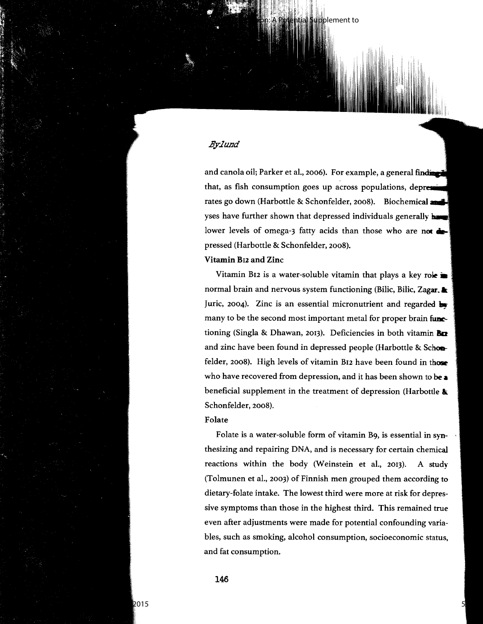#### .By.Jund

and canola oil; Parker et al., 2006). For example, a general finding that, as fish consumption goes up across populations, depress rates go down (Harbottle & Schonfelder, 2008). Biochemical and yses have further shown that depressed individuals generally **have** lower levels of omega-3 fatty acids than those who are not  $\triangle$ pressed (Harbottle & Schonfelder, 2008).

pplement to

**Vitamin B12 and Zinc** 

Vitamin B12 is a water-soluble vitamin that plays a key role **in** normal brain and nervous system functioning (Bilic, Bilic, **Zagar.•**  Juric, 2004). Zinc is an essential micronutrient and regarded **hy**  many to be the second most important metal for proper brain functioning (Singla & Dhawan, 2013). Deficiencies in both vitamin **Ba**  and zinc have been found in depressed people (Harbottle & **Scha.**  felder, 2008). High levels of vitamin B12 have been found in those who have recovered from depression, and it has been shown to **be a**  beneficial supplement in the treatment of depression (Harbottle **Ai:.**  Schonfelder, 2008).

#### **Folate**

Folate is a water-soluble form of vitamin B9, is essential **in syn**thesizing and repairing DNA, and is necessary for certain chemical reactions within the body (Weinstein et al., 2013). A **study**  (Tolmunen et al., 2003) of Finnish men grouped them according to dietary-folate intake. The lowest third were more at risk for depressive symptoms than those in the highest third. This remained true even after adjustments were made for potential confounding variables, such as smoking, alcohol consumption, socioeconomic status, and fat consumption.

5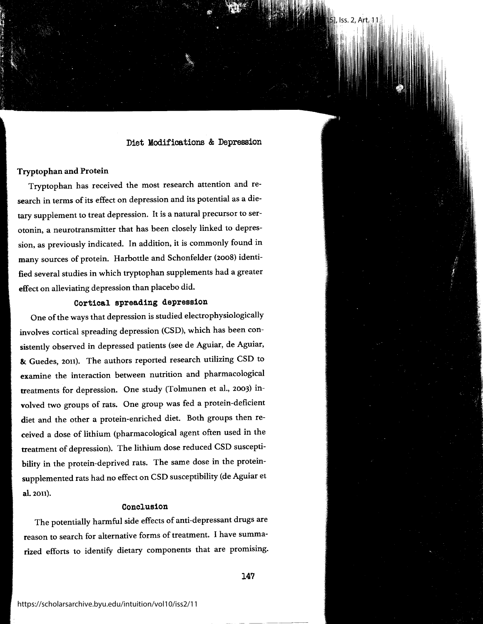Intuition: The Byu Undergraduate Journal of Psychology, Vol. 10 [2015], Iss. 2, Art. 11

#### **Tryptophan and Protein**

Tryptophan has received the most research attention and research in terms of its effect on depression and its potential as a dietary supplement to treat depression. It is a natural precursor to serotonin, a neurotransmitter that has been closely linked to depression, as previously indicated. In addition, it is commonly found in many sources of protein. Harbottle and Schonfelder (2008) identified several studies in which tryptophan supplements had a greater effect on alleviating depression than placebo did.

#### **Cortical spreading depression**

One of the ways that depression is studied electrophysiologically involves cortical spreading depression (CSD), which has been consistently observed in depressed patients (see de Aguiar, de Aguiar, & Guedes, 2011). The authors reported research utilizing CSD to examine the interaction between nutrition and pharmacological treatments for depression. One study (Tolmunen et al., 2003) involved two groups of rats. One group was fed a protein-deficient diet and the other a protein-enriched diet. Both groups then received a dose of lithium (pharmacological agent often used in the treatment of depression). The lithium dose reduced CSD susceptibility in the protein-deprived rats. The same dose in the proteinsupplemented rats had no effect on CSD susceptibility (de Aguiar et al. 2011).

#### Conclusion

The potentially harmful side effects of anti-depressant drugs are reason to search for alternative forms of treatment. I have summarized efforts to identify dietary components that are promising.

147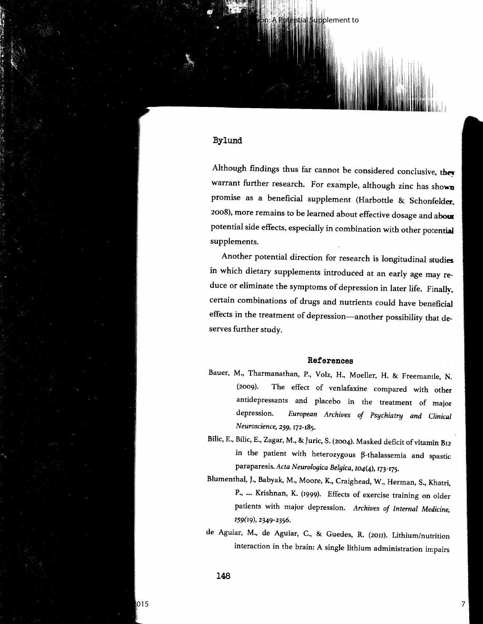#### Bylund

Although findings thus far cannot be considered conclusive, they warrant further research. For example, although zinc has shown promise as a beneficial supplement (Harbottle & Schonfelder. 2008), more remains to be learned about effective dosage and about potential side effects, especially in combination with other potential supplements.

pplement to

 $\parallel$ i $\parallel$ !,111! illiai 11

Another potential direction for research is longitudinal **studies**  in which dietary supplements introduced at an early age may **re**duce or eliminate the symptoms of depression in later life. Finally, certain combinations of drugs and nutrients could have beneficial effects in the treatment of depression-another possibility that deserves further study.

#### **References**

- Bauer, M., Tharmanathan, P., Volz, H., Moeller, H. & Freemantle, N. (2009). The effect of venlafaxine compared with other antidepressants and placebo in the treatment of major depression. *European Archives of Psychiatry and Clinical Neuroscience, 259,* 172-185.
- Bilic, E., Bilic, E., Zagar, M., & Juric, S. (2004). Masked deficit of vitamin Bu in the patient with heterozygous  $\beta$ -thalassemia and spastic paraparesis.Acta *Neurologica Belgica,* 104(4), 173-175.
- Blumenthal, J., Babyak, M., Moore, K., Craighead, W., Herman, S., Khatri, P., ... Krishnan, K. (1999). Effects of exercise training on older patients with major depression. *Archives of Internal Medicine, 159(19),* 2349-2356.
- de Aguiar, M., de Aguiar, C., & Guedes, R. (2011). Lithium/nutrition interaction in the brain: A single lithium administration impairs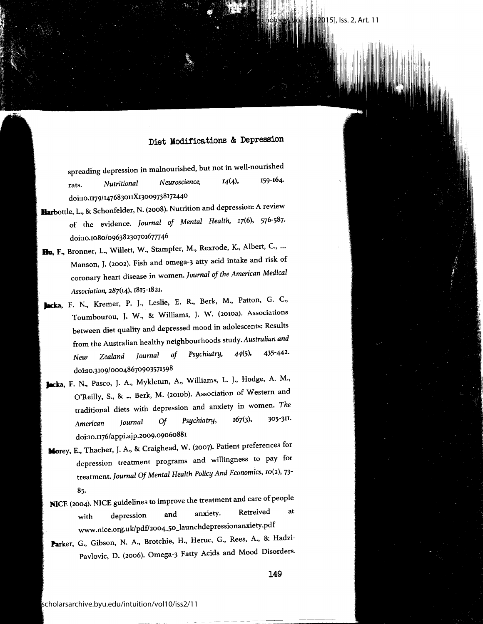15], Iss. 2, Art. 11

spreading depression in malnourished, but not in well-nourished rats. *Nutritional Neuroscience,* 14(4), 159-164. doi:10.u79/147683ouX13009738172440

- **Harbottle,** L., & Schonfelder, N. (2008). Nutrition and depression: A review of the evidence. *Journal of Mental Health,* I7(6), 576-587. doi:10.1080/09638230701677746
- **Bu, F.,** Bronner, L., Willett, W., Stampfer, M., Rexrode, K., Albert, C., ... Manson, J. (2002). Fish and omega-3 atty acid intake and risk of coronary heart disease in women. *Journal of the American Medical Association,* 287(14), 1815-1821.
- Jacka, F. N., Kremer, P. J., Leslie, E. R., Berk, M., Patton, G. C., Toumbourou, J. W., & Williams, J. W. (2010a). Associations between diet quality and depressed mood in adolescents: Results from the Australian healthy neighbourhoods *study.Australian and New Zealand Journal of Psychiatry,* 44(5), 435-442. doi:10.3109/00048670903571598
- **Jacka,** F. N., Pasco, J. A., Mykletun, A., Williams, L. J., Hodge, A. M., O'Reilly, S., & ... Berk, M. (2010b). Association of Western and traditional diets with depression and anxiety in women. *The American Journal Of Psychiatry,* 167(3), 305-3u. doi:10.u76/appi.ajp.2009.09060881
- **Morey,** E., Thacher, J. A., & Craighead, W. (2007). Patient preferences for depression treatment programs and willingness to pay for treatment. *Journal Of Mental Health Policy And Economics,* ro(2), 73- 85.
- **NICE** (2004). NICE guidelines to improve the treatment and care of people with depression and anxiety. Retreived at www.nice.org.uk/pdf/2oo4\_5o\_launchdepressionanxiety.pdf
- **Parker,** G., Gibson, N. A., Brotchie, H., Heruc, G., Rees, A., & Hadzi-Pavlovic, D. (2006). Omega-3 Fatty Acids and Mood Disorders.

149

---